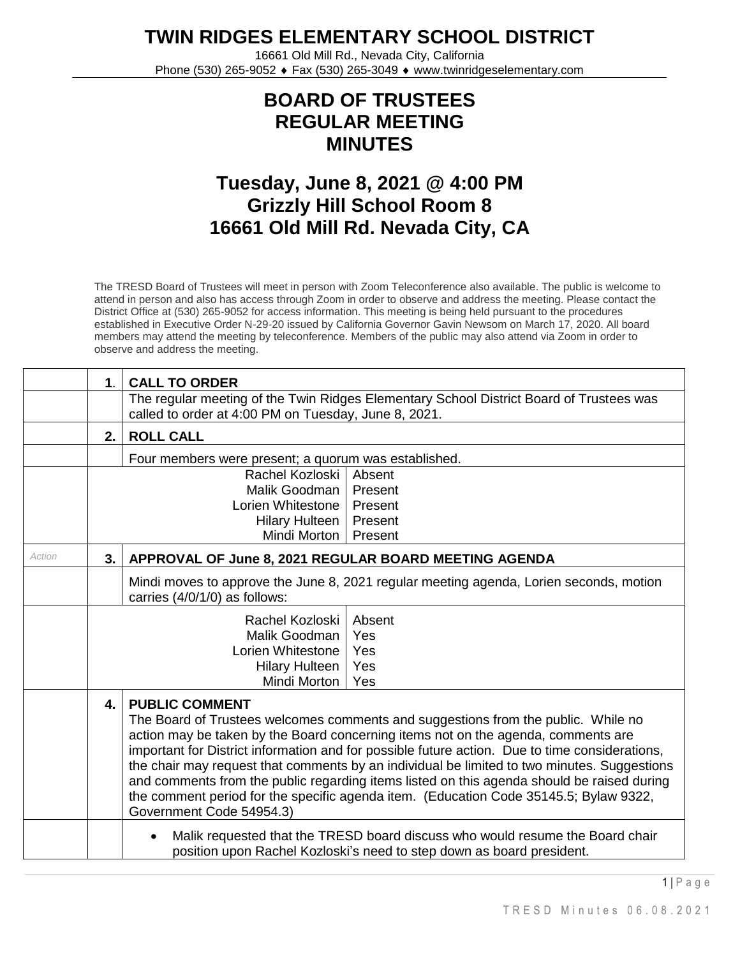**TWIN RIDGES ELEMENTARY SCHOOL DISTRICT**

16661 Old Mill Rd., Nevada City, California Phone (530) 265-9052 ♦ Fax (530) 265-3049 ♦ www.twinridgeselementary.com

## **BOARD OF TRUSTEES REGULAR MEETING MINUTES**

## **Tuesday, June 8, 2021 @ 4:00 PM Grizzly Hill School Room 8 16661 Old Mill Rd. Nevada City, CA**

The TRESD Board of Trustees will meet in person with Zoom Teleconference also available. The public is welcome to attend in person and also has access through Zoom in order to observe and address the meeting. Please contact the District Office at (530) 265-9052 for access information. This meeting is being held pursuant to the procedures established in Executive Order N-29-20 issued by California Governor Gavin Newsom on March 17, 2020. All board members may attend the meeting by teleconference. Members of the public may also attend via Zoom in order to observe and address the meeting.

|        | $\mathbf 1$ .                                                                                                                                                                                                                                                                                                                                                                                                                                                                                                                                                                                                             | <b>CALL TO ORDER</b>                                                                                                                                   |  |  |  |  |
|--------|---------------------------------------------------------------------------------------------------------------------------------------------------------------------------------------------------------------------------------------------------------------------------------------------------------------------------------------------------------------------------------------------------------------------------------------------------------------------------------------------------------------------------------------------------------------------------------------------------------------------------|--------------------------------------------------------------------------------------------------------------------------------------------------------|--|--|--|--|
|        |                                                                                                                                                                                                                                                                                                                                                                                                                                                                                                                                                                                                                           | The regular meeting of the Twin Ridges Elementary School District Board of Trustees was<br>called to order at 4:00 PM on Tuesday, June 8, 2021.        |  |  |  |  |
|        | <b>ROLL CALL</b><br>2.                                                                                                                                                                                                                                                                                                                                                                                                                                                                                                                                                                                                    |                                                                                                                                                        |  |  |  |  |
|        | Four members were present; a quorum was established.                                                                                                                                                                                                                                                                                                                                                                                                                                                                                                                                                                      |                                                                                                                                                        |  |  |  |  |
|        |                                                                                                                                                                                                                                                                                                                                                                                                                                                                                                                                                                                                                           | Rachel Kozloski<br>Absent<br>Malik Goodman<br>Present<br>Lorien Whitestone<br>Present<br><b>Hilary Hulteen</b><br>Present<br>Mindi Morton  <br>Present |  |  |  |  |
| Action | 3.                                                                                                                                                                                                                                                                                                                                                                                                                                                                                                                                                                                                                        | APPROVAL OF June 8, 2021 REGULAR BOARD MEETING AGENDA                                                                                                  |  |  |  |  |
|        | Mindi moves to approve the June 8, 2021 regular meeting agenda, Lorien seconds, motion<br>carries (4/0/1/0) as follows:                                                                                                                                                                                                                                                                                                                                                                                                                                                                                                   |                                                                                                                                                        |  |  |  |  |
|        |                                                                                                                                                                                                                                                                                                                                                                                                                                                                                                                                                                                                                           | Rachel Kozloski<br>Absent<br>Malik Goodman<br>Yes<br>Lorien Whitestone<br>Yes<br>Yes<br><b>Hilary Hulteen</b><br>Mindi Morton<br>Yes                   |  |  |  |  |
|        | <b>PUBLIC COMMENT</b><br>4.<br>The Board of Trustees welcomes comments and suggestions from the public. While no<br>action may be taken by the Board concerning items not on the agenda, comments are<br>important for District information and for possible future action. Due to time considerations,<br>the chair may request that comments by an individual be limited to two minutes. Suggestions<br>and comments from the public regarding items listed on this agenda should be raised during<br>the comment period for the specific agenda item. (Education Code 35145.5; Bylaw 9322,<br>Government Code 54954.3) |                                                                                                                                                        |  |  |  |  |
|        | Malik requested that the TRESD board discuss who would resume the Board chair<br>position upon Rachel Kozloski's need to step down as board president.                                                                                                                                                                                                                                                                                                                                                                                                                                                                    |                                                                                                                                                        |  |  |  |  |

 $1$ | P a g e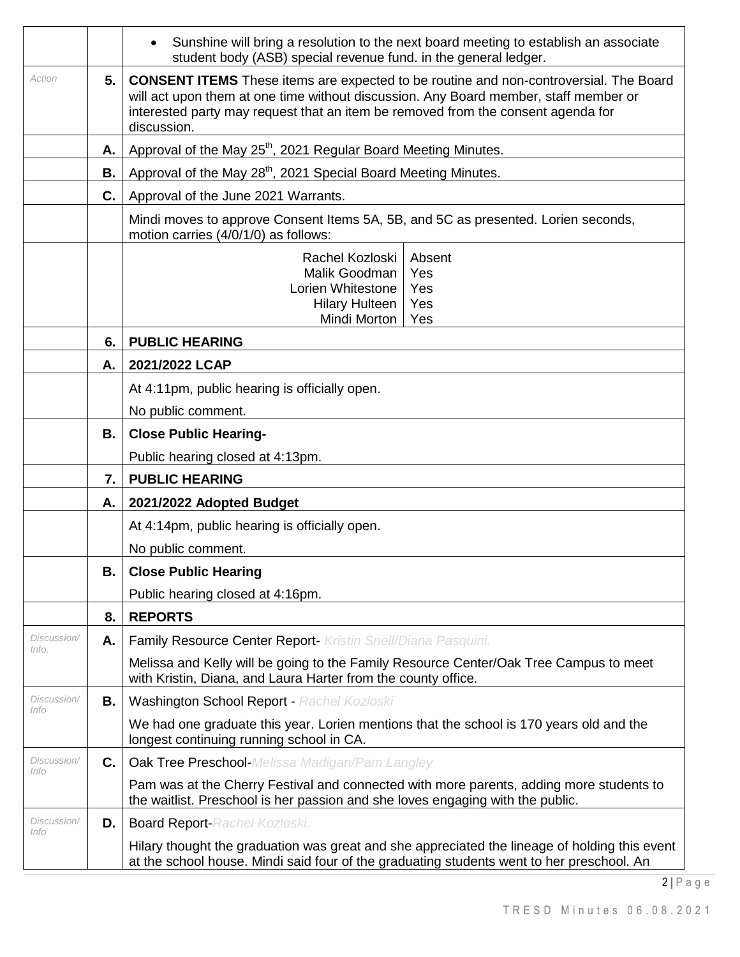|                            |                       | Sunshine will bring a resolution to the next board meeting to establish an associate<br>student body (ASB) special revenue fund. in the general ledger.                                                                                                                                 |  |  |  |  |  |  |
|----------------------------|-----------------------|-----------------------------------------------------------------------------------------------------------------------------------------------------------------------------------------------------------------------------------------------------------------------------------------|--|--|--|--|--|--|
| Action                     | 5.                    | <b>CONSENT ITEMS</b> These items are expected to be routine and non-controversial. The Board<br>will act upon them at one time without discussion. Any Board member, staff member or<br>interested party may request that an item be removed from the consent agenda for<br>discussion. |  |  |  |  |  |  |
|                            | А.                    | Approval of the May 25 <sup>th</sup> , 2021 Regular Board Meeting Minutes.                                                                                                                                                                                                              |  |  |  |  |  |  |
|                            | В.                    | Approval of the May 28 <sup>th</sup> , 2021 Special Board Meeting Minutes.                                                                                                                                                                                                              |  |  |  |  |  |  |
|                            | C.                    | Approval of the June 2021 Warrants.                                                                                                                                                                                                                                                     |  |  |  |  |  |  |
|                            |                       | Mindi moves to approve Consent Items 5A, 5B, and 5C as presented. Lorien seconds,<br>motion carries (4/0/1/0) as follows:                                                                                                                                                               |  |  |  |  |  |  |
|                            |                       | Absent<br>Rachel Kozloski                                                                                                                                                                                                                                                               |  |  |  |  |  |  |
|                            |                       | Malik Goodman<br>Yes<br>Lorien Whitestone<br>Yes                                                                                                                                                                                                                                        |  |  |  |  |  |  |
|                            |                       | Hilary Hulteen<br>Yes                                                                                                                                                                                                                                                                   |  |  |  |  |  |  |
|                            |                       | Mindi Morton  <br>Yes                                                                                                                                                                                                                                                                   |  |  |  |  |  |  |
|                            | <b>PUBLIC HEARING</b> |                                                                                                                                                                                                                                                                                         |  |  |  |  |  |  |
|                            | А.                    | 2021/2022 LCAP                                                                                                                                                                                                                                                                          |  |  |  |  |  |  |
|                            |                       | At 4:11pm, public hearing is officially open.                                                                                                                                                                                                                                           |  |  |  |  |  |  |
|                            |                       | No public comment.                                                                                                                                                                                                                                                                      |  |  |  |  |  |  |
|                            | В.                    | <b>Close Public Hearing-</b>                                                                                                                                                                                                                                                            |  |  |  |  |  |  |
|                            |                       | Public hearing closed at 4:13pm.                                                                                                                                                                                                                                                        |  |  |  |  |  |  |
|                            | 7.                    | <b>PUBLIC HEARING</b>                                                                                                                                                                                                                                                                   |  |  |  |  |  |  |
|                            | А.                    | 2021/2022 Adopted Budget                                                                                                                                                                                                                                                                |  |  |  |  |  |  |
|                            |                       | At 4:14pm, public hearing is officially open.                                                                                                                                                                                                                                           |  |  |  |  |  |  |
|                            |                       | No public comment.                                                                                                                                                                                                                                                                      |  |  |  |  |  |  |
|                            | В.                    | <b>Close Public Hearing</b>                                                                                                                                                                                                                                                             |  |  |  |  |  |  |
|                            |                       | Public hearing closed at 4:16pm.                                                                                                                                                                                                                                                        |  |  |  |  |  |  |
|                            | 8.                    | <b>REPORTS</b>                                                                                                                                                                                                                                                                          |  |  |  |  |  |  |
| Discussion/<br>Info.       | А.                    | Family Resource Center Report- Kristin Snell/Diana Pasquini.                                                                                                                                                                                                                            |  |  |  |  |  |  |
|                            |                       | Melissa and Kelly will be going to the Family Resource Center/Oak Tree Campus to meet<br>with Kristin, Diana, and Laura Harter from the county office.                                                                                                                                  |  |  |  |  |  |  |
| Discussion/<br>Info        | В.                    | Washington School Report - Rachel Kozloski                                                                                                                                                                                                                                              |  |  |  |  |  |  |
|                            |                       | We had one graduate this year. Lorien mentions that the school is 170 years old and the<br>longest continuing running school in CA.                                                                                                                                                     |  |  |  |  |  |  |
| Discussion/<br>Info        | C.                    | <b>Oak Tree Preschool-</b> Melissa Madigan/Pam Langley                                                                                                                                                                                                                                  |  |  |  |  |  |  |
|                            |                       | Pam was at the Cherry Festival and connected with more parents, adding more students to<br>the waitlist. Preschool is her passion and she loves engaging with the public.                                                                                                               |  |  |  |  |  |  |
| Discussion/<br><i>Info</i> | D.                    | <b>Board Report-Rachel Kozloski.</b>                                                                                                                                                                                                                                                    |  |  |  |  |  |  |
|                            |                       | Hilary thought the graduation was great and she appreciated the lineage of holding this event<br>at the school house. Mindi said four of the graduating students went to her preschool. An                                                                                              |  |  |  |  |  |  |

 $2 | P a g e$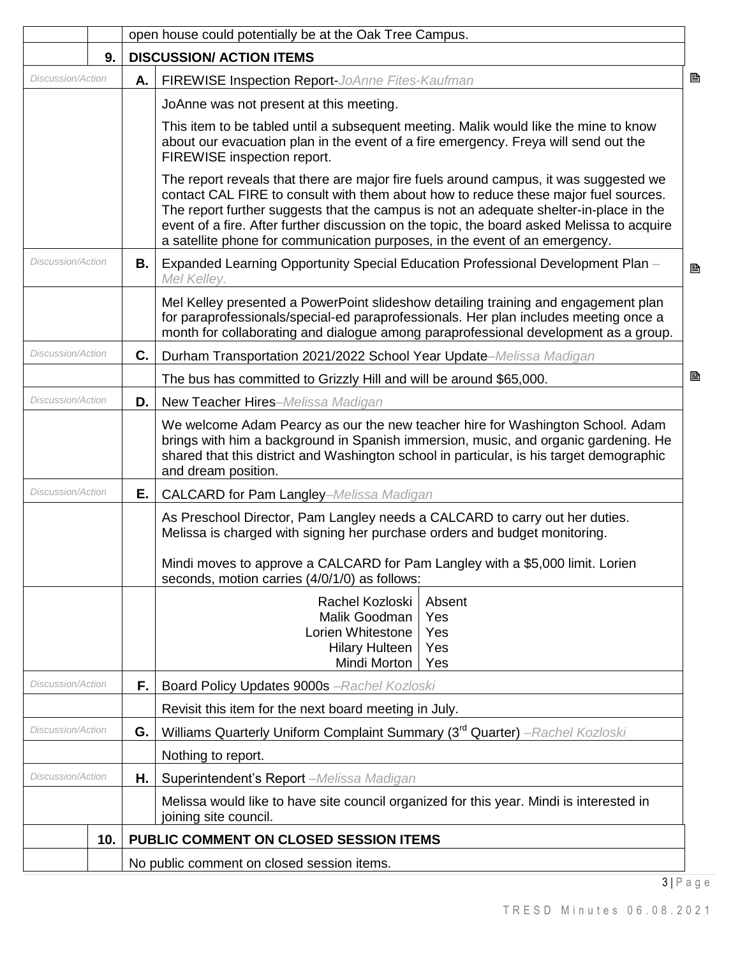|                          |                   |    | open house could potentially be at the Oak Tree Campus.                                                                                                                                                                                                                                                                                                                                                                                             |   |
|--------------------------|-------------------|----|-----------------------------------------------------------------------------------------------------------------------------------------------------------------------------------------------------------------------------------------------------------------------------------------------------------------------------------------------------------------------------------------------------------------------------------------------------|---|
|                          | 9.                |    | <b>DISCUSSION/ ACTION ITEMS</b>                                                                                                                                                                                                                                                                                                                                                                                                                     |   |
|                          | Discussion/Action |    | FIREWISE Inspection Report-JoAnne Fites-Kaufman                                                                                                                                                                                                                                                                                                                                                                                                     | B |
|                          |                   |    | JoAnne was not present at this meeting.                                                                                                                                                                                                                                                                                                                                                                                                             |   |
|                          |                   |    | This item to be tabled until a subsequent meeting. Malik would like the mine to know<br>about our evacuation plan in the event of a fire emergency. Freya will send out the<br>FIREWISE inspection report.                                                                                                                                                                                                                                          |   |
|                          |                   |    | The report reveals that there are major fire fuels around campus, it was suggested we<br>contact CAL FIRE to consult with them about how to reduce these major fuel sources.<br>The report further suggests that the campus is not an adequate shelter-in-place in the<br>event of a fire. After further discussion on the topic, the board asked Melissa to acquire<br>a satellite phone for communication purposes, in the event of an emergency. |   |
| Discussion/Action        |                   | В. | Expanded Learning Opportunity Special Education Professional Development Plan -<br>Mel Kelley.                                                                                                                                                                                                                                                                                                                                                      | 昏 |
|                          |                   |    | Mel Kelley presented a PowerPoint slideshow detailing training and engagement plan<br>for paraprofessionals/special-ed paraprofessionals. Her plan includes meeting once a<br>month for collaborating and dialogue among paraprofessional development as a group.                                                                                                                                                                                   |   |
| Discussion/Action        |                   | C. | Durham Transportation 2021/2022 School Year Update-Melissa Madigan                                                                                                                                                                                                                                                                                                                                                                                  |   |
|                          |                   |    | The bus has committed to Grizzly Hill and will be around \$65,000.                                                                                                                                                                                                                                                                                                                                                                                  | B |
| <b>Discussion/Action</b> |                   | D. | New Teacher Hires-Melissa Madigan                                                                                                                                                                                                                                                                                                                                                                                                                   |   |
|                          |                   |    | We welcome Adam Pearcy as our the new teacher hire for Washington School. Adam<br>brings with him a background in Spanish immersion, music, and organic gardening. He<br>shared that this district and Washington school in particular, is his target demographic<br>and dream position.                                                                                                                                                            |   |
| <b>Discussion/Action</b> |                   | Е. | <b>CALCARD for Pam Langley-Melissa Madigan</b>                                                                                                                                                                                                                                                                                                                                                                                                      |   |
|                          |                   |    | As Preschool Director, Pam Langley needs a CALCARD to carry out her duties.<br>Melissa is charged with signing her purchase orders and budget monitoring.                                                                                                                                                                                                                                                                                           |   |
|                          |                   |    | Mindi moves to approve a CALCARD for Pam Langley with a \$5,000 limit. Lorien<br>seconds, motion carries (4/0/1/0) as follows:                                                                                                                                                                                                                                                                                                                      |   |
|                          |                   |    | Rachel Kozloski<br>Absent<br>Malik Goodman<br>Yes<br>Lorien Whitestone<br>Yes<br><b>Hilary Hulteen</b><br>Yes<br>Mindi Morton<br>Yes                                                                                                                                                                                                                                                                                                                |   |
| Discussion/Action        |                   | F. | Board Policy Updates 9000s - Rachel Kozloski                                                                                                                                                                                                                                                                                                                                                                                                        |   |
|                          |                   |    | Revisit this item for the next board meeting in July.                                                                                                                                                                                                                                                                                                                                                                                               |   |
| Discussion/Action        |                   | G. | Williams Quarterly Uniform Complaint Summary (3 <sup>rd</sup> Quarter) -Rachel Kozloski                                                                                                                                                                                                                                                                                                                                                             |   |
|                          |                   |    | Nothing to report.                                                                                                                                                                                                                                                                                                                                                                                                                                  |   |
| Discussion/Action        |                   | Η. | Superintendent's Report -Melissa Madigan                                                                                                                                                                                                                                                                                                                                                                                                            |   |
|                          |                   |    | Melissa would like to have site council organized for this year. Mindi is interested in<br>joining site council.                                                                                                                                                                                                                                                                                                                                    |   |
|                          | 10.               |    | PUBLIC COMMENT ON CLOSED SESSION ITEMS                                                                                                                                                                                                                                                                                                                                                                                                              |   |
|                          |                   |    | No public comment on closed session items.                                                                                                                                                                                                                                                                                                                                                                                                          |   |